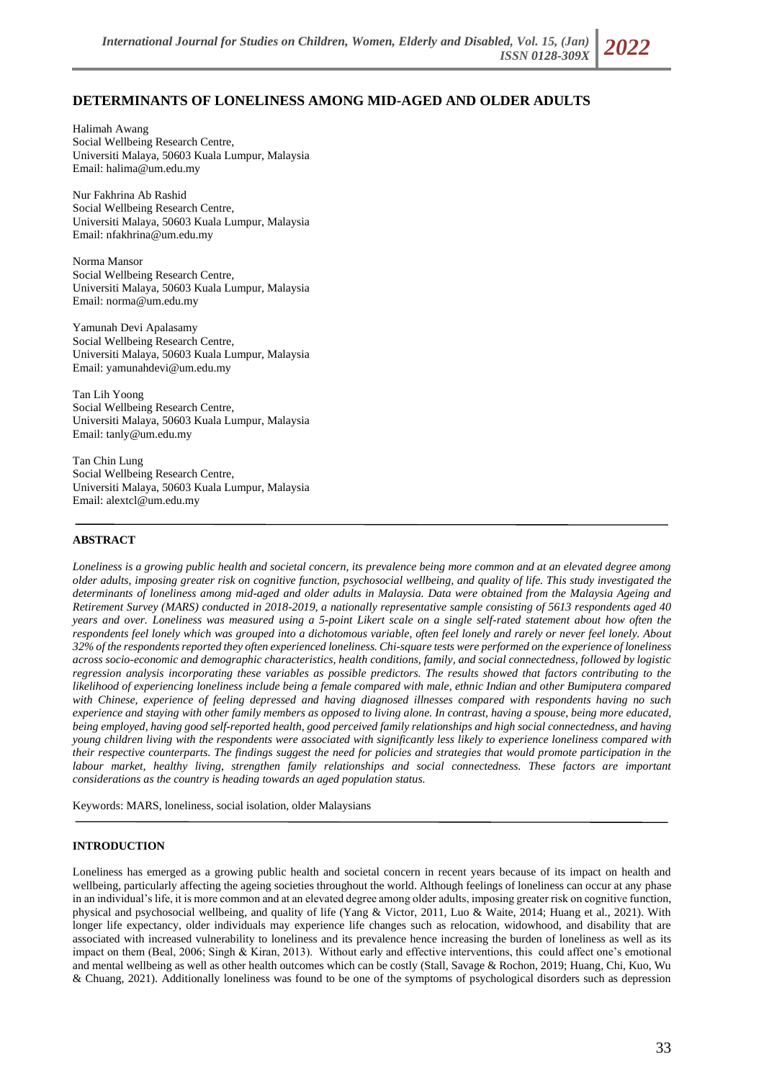# **DETERMINANTS OF LONELINESS AMONG MID-AGED AND OLDER ADULTS**

Halimah Awang Social Wellbeing Research Centre, Universiti Malaya, 50603 Kuala Lumpur, Malaysia Email: halima@um.edu.my

Nur Fakhrina Ab Rashid Social Wellbeing Research Centre, Universiti Malaya, 50603 Kuala Lumpur, Malaysia Email: nfakhrina@um.edu.my

Norma Mansor Social Wellbeing Research Centre, Universiti Malaya, 50603 Kuala Lumpur, Malaysia Email: norma@um.edu.my

Yamunah Devi Apalasamy Social Wellbeing Research Centre, Universiti Malaya, 50603 Kuala Lumpur, Malaysia Email: yamunahdevi@um.edu.my

Tan Lih Yoong Social Wellbeing Research Centre, Universiti Malaya, 50603 Kuala Lumpur, Malaysia Email: tanly@um.edu.my

Tan Chin Lung Social Wellbeing Research Centre, Universiti Malaya, 50603 Kuala Lumpur, Malaysia Email: [alextcl@um.edu.my](mailto:alextcl@um.edu.my)

## **ABSTRACT**

*Loneliness is a growing public health and societal concern, its prevalence being more common and at an elevated degree among older adults, imposing greater risk on cognitive function, psychosocial wellbeing, and quality of life. This study investigated the determinants of loneliness among mid-aged and older adults in Malaysia. Data were obtained from the Malaysia Ageing and Retirement Survey (MARS) conducted in 2018-2019, a nationally representative sample consisting of 5613 respondents aged 40 years and over. Loneliness was measured using a 5-point Likert scale on a single self-rated statement about how often the respondents feel lonely which was grouped into a dichotomous variable, often feel lonely and rarely or never feel lonely. About 32% of the respondents reported they often experienced loneliness. Chi-square tests were performed on the experience of loneliness across socio-economic and demographic characteristics, health conditions, family, and social connectedness, followed by logistic regression analysis incorporating these variables as possible predictors. The results showed that factors contributing to the likelihood of experiencing loneliness include being a female compared with male, ethnic Indian and other Bumiputera compared with Chinese, experience of feeling depressed and having diagnosed illnesses compared with respondents having no such experience and staying with other family members as opposed to living alone. In contrast, having a spouse, being more educated, being employed, having good self-reported health, good perceived family relationships and high social connectedness, and having young children living with the respondents were associated with significantly less likely to experience loneliness compared with their respective counterparts. The findings suggest the need for policies and strategies that would promote participation in the*  labour market, healthy living, strengthen family relationships and social connectedness. These factors are important *considerations as the country is heading towards an aged population status.*

Keywords: MARS, loneliness, social isolation, older Malaysians

### **INTRODUCTION**

Loneliness has emerged as a growing public health and societal concern in recent years because of its impact on health and wellbeing, particularly affecting the ageing societies throughout the world. Although feelings of loneliness can occur at any phase in an individual's life, it is more common and at an elevated degree among older adults, imposing greater risk on cognitive function, physical and psychosocial wellbeing, and quality of life (Yang & Victor, 2011, Luo & Waite, 2014; Huang et al., 2021). With longer life expectancy, older individuals may experience life changes such as relocation, widowhood, and disability that are associated with increased vulnerability to loneliness and its prevalence hence increasing the burden of loneliness as well as its impact on them (Beal, 2006; Singh & Kiran, 2013). Without early and effective interventions, this could affect one's emotional and mental wellbeing as well as other health outcomes which can be costly (Stall, Savage & Rochon, 2019; Huang, Chi, Kuo, Wu & Chuang, 2021). Additionally loneliness was found to be one of the symptoms of psychological disorders such as depression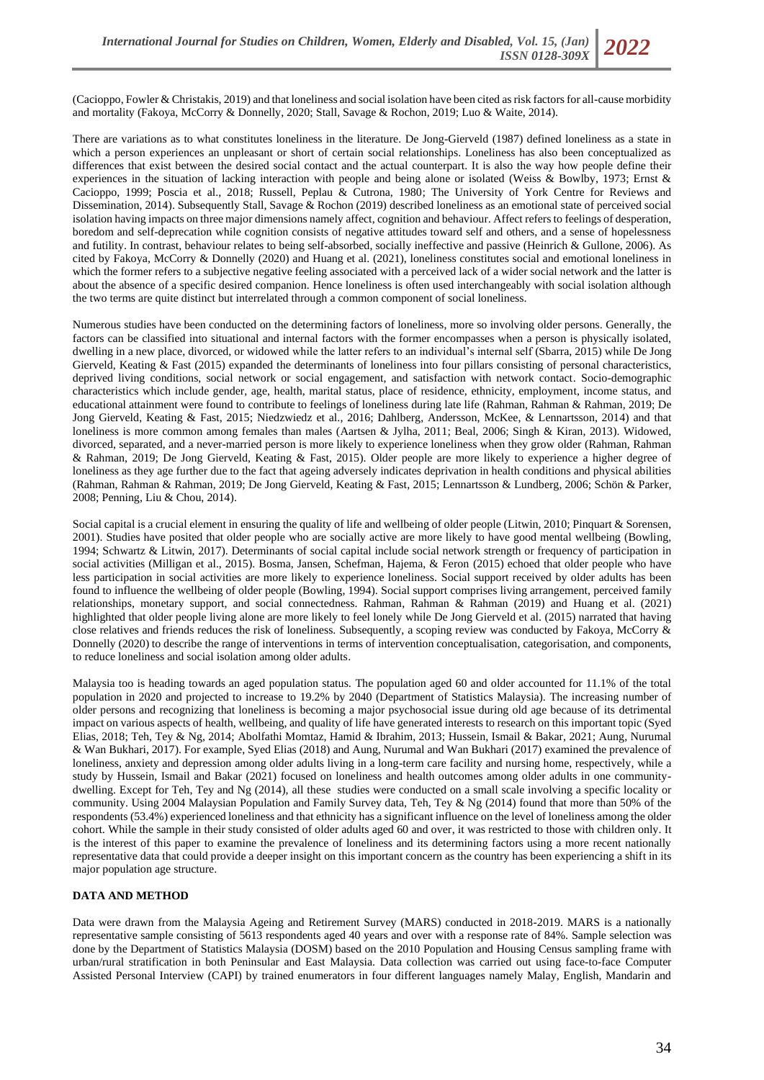(Cacioppo, Fowler & Christakis, 2019) and that loneliness and social isolation have been cited as risk factors for all-cause morbidity and mortality (Fakoya, McCorry & Donnelly, 2020; Stall, Savage & Rochon, 2019; Luo & Waite, 2014).

There are variations as to what constitutes loneliness in the literature. De Jong-Gierveld (1987) defined loneliness as a state in which a person experiences an unpleasant or short of certain social relationships. Loneliness has also been conceptualized as differences that exist between the desired social contact and the actual counterpart. It is also the way how people define their experiences in the situation of lacking interaction with people and being alone or isolated (Weiss & Bowlby, 1973; Ernst & Cacioppo, 1999; Poscia et al., 2018; Russell, Peplau & Cutrona, 1980; The University of York Centre for Reviews and Dissemination, 2014). Subsequently Stall, Savage & Rochon (2019) described loneliness as an emotional state of perceived social isolation having impacts on three major dimensions namely affect, cognition and behaviour. Affect refers to feelings of desperation, boredom and self-deprecation while cognition consists of negative attitudes toward self and others, and a sense of hopelessness and futility. In contrast, behaviour relates to being self-absorbed, socially ineffective and passive (Heinrich & Gullone, 2006). As cited by Fakoya, McCorry & Donnelly (2020) and Huang et al. (2021), loneliness constitutes social and emotional loneliness in which the former refers to a subjective negative feeling associated with a perceived lack of a wider social network and the latter is about the absence of a specific desired companion. Hence loneliness is often used interchangeably with social isolation although the two terms are quite distinct but interrelated through a common component of social loneliness.

Numerous studies have been conducted on the determining factors of loneliness, more so involving older persons. Generally, the factors can be classified into situational and internal factors with the former encompasses when a person is physically isolated, dwelling in a new place, divorced, or widowed while the latter refers to an individual's internal self (Sbarra, 2015) while De Jong Gierveld, Keating & Fast (2015) expanded the determinants of loneliness into four pillars consisting of personal characteristics, deprived living conditions, social network or social engagement, and satisfaction with network contact. Socio-demographic characteristics which include gender, age, health, marital status, place of residence, ethnicity, employment, income status, and educational attainment were found to contribute to feelings of loneliness during late life (Rahman, Rahman & Rahman, 2019; De Jong Gierveld, Keating & Fast, 2015; Niedzwiedz et al., 2016; Dahlberg, Andersson, McKee, & Lennartsson, 2014) and that loneliness is more common among females than males (Aartsen & Jylha, 2011; Beal, 2006; Singh & Kiran, 2013). Widowed, divorced, separated, and a never-married person is more likely to experience loneliness when they grow older (Rahman, Rahman & Rahman, 2019; De Jong Gierveld, Keating & Fast, 2015). Older people are more likely to experience a higher degree of loneliness as they age further due to the fact that ageing adversely indicates deprivation in health conditions and physical abilities (Rahman, Rahman & Rahman, 2019; De Jong Gierveld, Keating & Fast, 2015; Lennartsson & Lundberg, 2006; Schön & Parker, 2008; Penning, Liu & Chou, 2014).

Social capital is a crucial element in ensuring the quality of life and wellbeing of older people (Litwin, 2010; Pinquart & Sorensen, 2001). Studies have posited that older people who are socially active are more likely to have good mental wellbeing (Bowling, 1994; Schwartz & Litwin, 2017). Determinants of social capital include social network strength or frequency of participation in social activities (Milligan et al., 2015). Bosma, Jansen, Schefman, Hajema, & Feron (2015) echoed that older people who have less participation in social activities are more likely to experience loneliness. Social support received by older adults has been found to influence the wellbeing of older people (Bowling, 1994). Social support comprises living arrangement, perceived family relationships, monetary support, and social connectedness. Rahman, Rahman & Rahman (2019) and Huang et al. (2021) highlighted that older people living alone are more likely to feel lonely while De Jong Gierveld et al. (2015) narrated that having close relatives and friends reduces the risk of loneliness. Subsequently, a scoping review was conducted by Fakoya, McCorry & Donnelly (2020) to describe the range of interventions in terms of intervention conceptualisation, categorisation, and components, to reduce loneliness and social isolation among older adults.

Malaysia too is heading towards an aged population status. The population aged 60 and older accounted for 11.1% of the total population in 2020 and projected to increase to 19.2% by 2040 (Department of Statistics Malaysia). The increasing number of older persons and recognizing that loneliness is becoming a major psychosocial issue during old age because of its detrimental impact on various aspects of health, wellbeing, and quality of life have generated interests to research on this important topic (Syed Elias, 2018; Teh, Tey & Ng, 2014; Abolfathi Momtaz, Hamid & Ibrahim, 2013; Hussein, Ismail & Bakar, 2021; Aung, Nurumal & Wan Bukhari, 2017). For example, Syed Elias (2018) and Aung, Nurumal and Wan Bukhari (2017) examined the prevalence of loneliness, anxiety and depression among older adults living in a long-term care facility and nursing home, respectively, while a study by Hussein, Ismail and Bakar (2021) focused on loneliness and health outcomes among older adults in one communitydwelling. Except for Teh, Tey and Ng (2014), all these studies were conducted on a small scale involving a specific locality or community. Using 2004 Malaysian Population and Family Survey data, Teh, Tey & Ng (2014) found that more than 50% of the respondents (53.4%) experienced loneliness and that ethnicity has a significant influence on the level of loneliness among the older cohort. While the sample in their study consisted of older adults aged 60 and over, it was restricted to those with children only. It is the interest of this paper to examine the prevalence of loneliness and its determining factors using a more recent nationally representative data that could provide a deeper insight on this important concern as the country has been experiencing a shift in its major population age structure.

# **DATA AND METHOD**

Data were drawn from the Malaysia Ageing and Retirement Survey (MARS) conducted in 2018-2019. MARS is a nationally representative sample consisting of 5613 respondents aged 40 years and over with a response rate of 84%. Sample selection was done by the Department of Statistics Malaysia (DOSM) based on the 2010 Population and Housing Census sampling frame with urban/rural stratification in both Peninsular and East Malaysia. Data collection was carried out using face-to-face Computer Assisted Personal Interview (CAPI) by trained enumerators in four different languages namely Malay, English, Mandarin and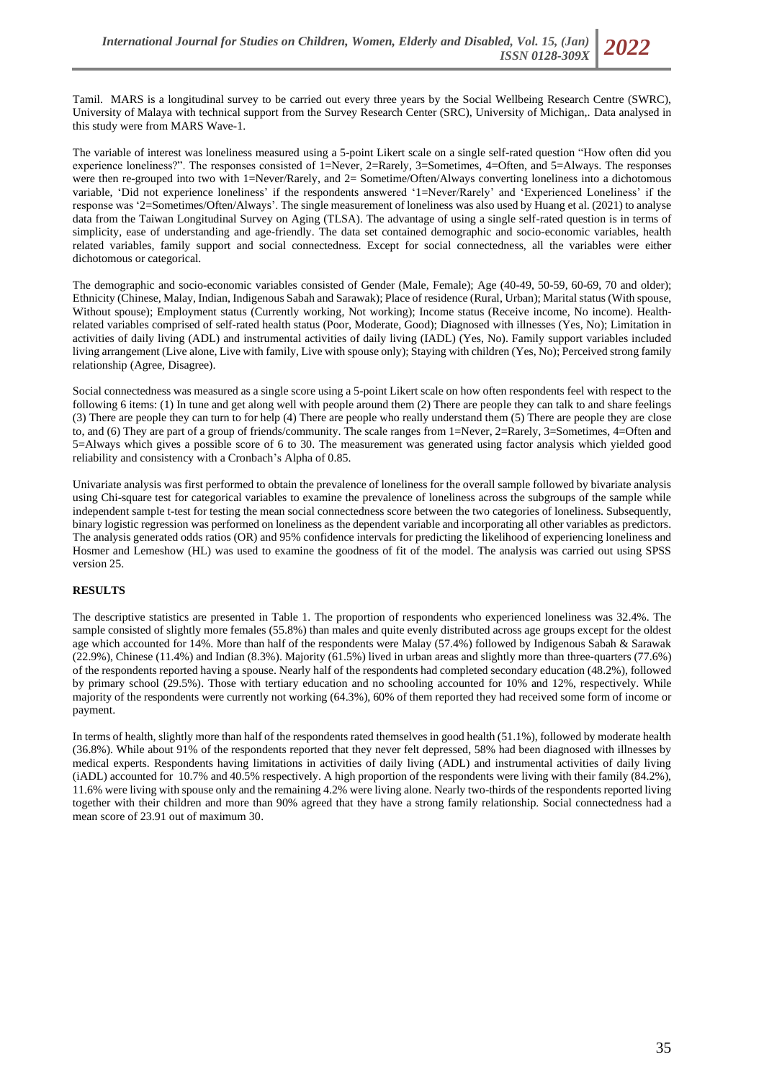The variable of interest was loneliness measured using a 5-point Likert scale on a single self-rated question "How often did you experience loneliness?". The responses consisted of 1=Never, 2=Rarely, 3=Sometimes, 4=Often, and 5=Always. The responses were then re-grouped into two with 1=Never/Rarely, and 2= Sometime/Often/Always converting loneliness into a dichotomous variable, 'Did not experience loneliness' if the respondents answered '1=Never/Rarely' and 'Experienced Loneliness' if the response was '2=Sometimes/Often/Always'. The single measurement of loneliness was also used by Huang et al. (2021) to analyse data from the Taiwan Longitudinal Survey on Aging (TLSA). The advantage of using a single self-rated question is in terms of simplicity, ease of understanding and age-friendly. The data set contained demographic and socio-economic variables, health related variables, family support and social connectedness. Except for social connectedness, all the variables were either dichotomous or categorical.

The demographic and socio-economic variables consisted of Gender (Male, Female); Age (40-49, 50-59, 60-69, 70 and older); Ethnicity (Chinese, Malay, Indian, Indigenous Sabah and Sarawak); Place of residence (Rural, Urban); Marital status (With spouse, Without spouse); Employment status (Currently working, Not working); Income status (Receive income, No income). Healthrelated variables comprised of self-rated health status (Poor, Moderate, Good); Diagnosed with illnesses (Yes, No); Limitation in activities of daily living (ADL) and instrumental activities of daily living (IADL) (Yes, No). Family support variables included living arrangement (Live alone, Live with family, Live with spouse only); Staying with children (Yes, No); Perceived strong family relationship (Agree, Disagree).

Social connectedness was measured as a single score using a 5-point Likert scale on how often respondents feel with respect to the following 6 items: (1) In tune and get along well with people around them (2) There are people they can talk to and share feelings (3) There are people they can turn to for help (4) There are people who really understand them (5) There are people they are close to, and (6) They are part of a group of friends/community. The scale ranges from 1=Never, 2=Rarely, 3=Sometimes, 4=Often and 5=Always which gives a possible score of 6 to 30. The measurement was generated using factor analysis which yielded good reliability and consistency with a Cronbach's Alpha of 0.85.

Univariate analysis was first performed to obtain the prevalence of loneliness for the overall sample followed by bivariate analysis using Chi-square test for categorical variables to examine the prevalence of loneliness across the subgroups of the sample while independent sample t-test for testing the mean social connectedness score between the two categories of loneliness. Subsequently, binary logistic regression was performed on loneliness as the dependent variable and incorporating all other variables as predictors. The analysis generated odds ratios (OR) and 95% confidence intervals for predicting the likelihood of experiencing loneliness and Hosmer and Lemeshow (HL) was used to examine the goodness of fit of the model. The analysis was carried out using SPSS version 25.

# **RESULTS**

The descriptive statistics are presented in Table 1. The proportion of respondents who experienced loneliness was 32.4%. The sample consisted of slightly more females (55.8%) than males and quite evenly distributed across age groups except for the oldest age which accounted for 14%. More than half of the respondents were Malay (57.4%) followed by Indigenous Sabah & Sarawak (22.9%), Chinese (11.4%) and Indian (8.3%). Majority (61.5%) lived in urban areas and slightly more than three-quarters (77.6%) of the respondents reported having a spouse. Nearly half of the respondents had completed secondary education (48.2%), followed by primary school (29.5%). Those with tertiary education and no schooling accounted for 10% and 12%, respectively. While majority of the respondents were currently not working (64.3%), 60% of them reported they had received some form of income or payment.

In terms of health, slightly more than half of the respondents rated themselves in good health (51.1%), followed by moderate health (36.8%). While about 91% of the respondents reported that they never felt depressed, 58% had been diagnosed with illnesses by medical experts. Respondents having limitations in activities of daily living (ADL) and instrumental activities of daily living (iADL) accounted for 10.7% and 40.5% respectively. A high proportion of the respondents were living with their family (84.2%), 11.6% were living with spouse only and the remaining 4.2% were living alone. Nearly two-thirds of the respondents reported living together with their children and more than 90% agreed that they have a strong family relationship. Social connectedness had a mean score of 23.91 out of maximum 30.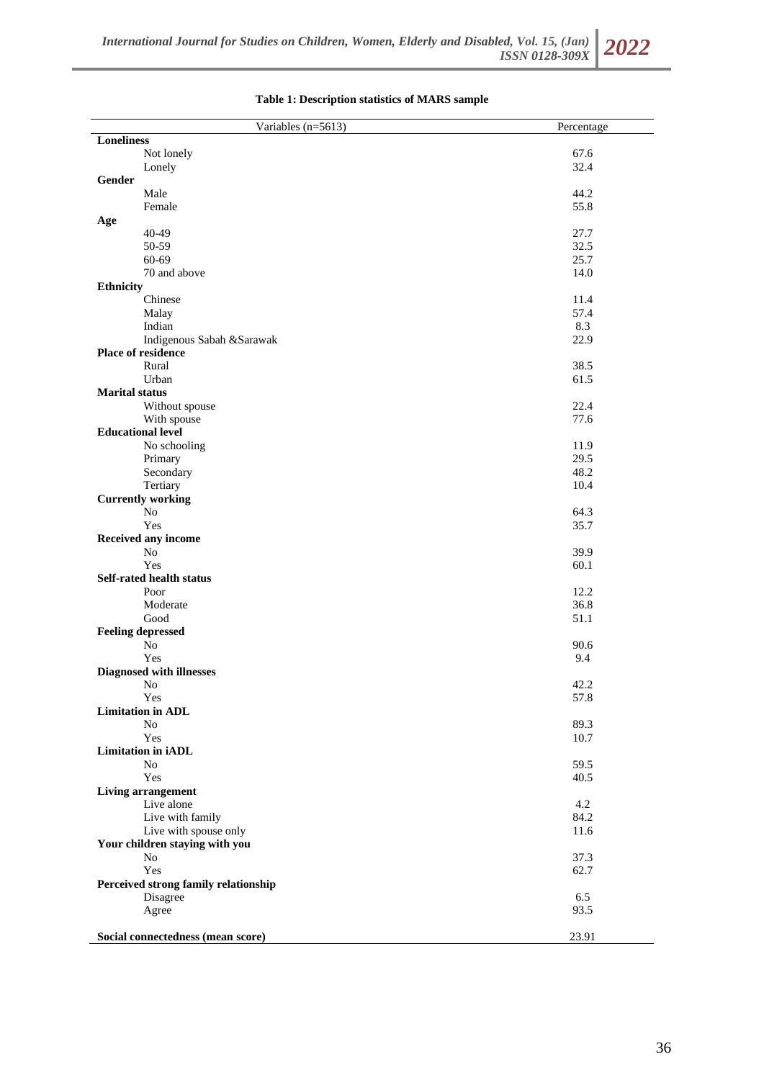| Variables (n=5613)                   | Percentage   |
|--------------------------------------|--------------|
| <b>Loneliness</b>                    |              |
| Not lonely                           | 67.6         |
| Lonely                               | 32.4         |
| Gender                               |              |
| Male                                 | 44.2         |
| Female                               | 55.8         |
| Age                                  |              |
| 40-49                                | 27.7         |
| 50-59                                | 32.5         |
| 60-69                                | 25.7         |
| 70 and above                         | 14.0         |
| <b>Ethnicity</b>                     |              |
| Chinese                              | 11.4         |
| Malay                                | 57.4         |
| Indian                               | 8.3          |
| Indigenous Sabah & Sarawak           | 22.9         |
| Place of residence                   |              |
| Rural                                | 38.5         |
| Urban                                | 61.5         |
| <b>Marital status</b>                |              |
| Without spouse                       | 22.4         |
| With spouse                          | 77.6         |
| <b>Educational level</b>             |              |
| No schooling                         | 11.9         |
| Primary                              | 29.5         |
| Secondary                            | 48.2         |
| Tertiary                             | 10.4         |
| <b>Currently working</b>             |              |
| $\rm No$                             | 64.3         |
| Yes                                  | 35.7         |
| Received any income                  |              |
| N <sub>o</sub>                       | 39.9         |
| Yes                                  | 60.1         |
| Self-rated health status             |              |
| Poor                                 | 12.2         |
| Moderate<br>Good                     | 36.8<br>51.1 |
| <b>Feeling depressed</b>             |              |
| N <sub>o</sub>                       | 90.6         |
| Yes                                  | 9.4          |
| <b>Diagnosed with illnesses</b>      |              |
| N <sub>o</sub>                       | 42.2         |
| Yes                                  | 57.8         |
| <b>Limitation in ADL</b>             |              |
| No                                   | 89.3         |
| Yes                                  | 10.7         |
| Limitation in iADL                   |              |
| N <sub>0</sub>                       | 59.5         |
| Yes                                  | 40.5         |
| Living arrangement                   |              |
| Live alone                           | 4.2          |
| Live with family                     | 84.2         |
| Live with spouse only                | 11.6         |
| Your children staying with you       |              |
| No                                   | 37.3         |
| Yes                                  | 62.7         |
| Perceived strong family relationship |              |
| Disagree                             | 6.5          |
| Agree                                | 93.5         |
|                                      |              |
| Social connectedness (mean score)    | 23.91        |

# **Table 1: Description statistics of MARS sample**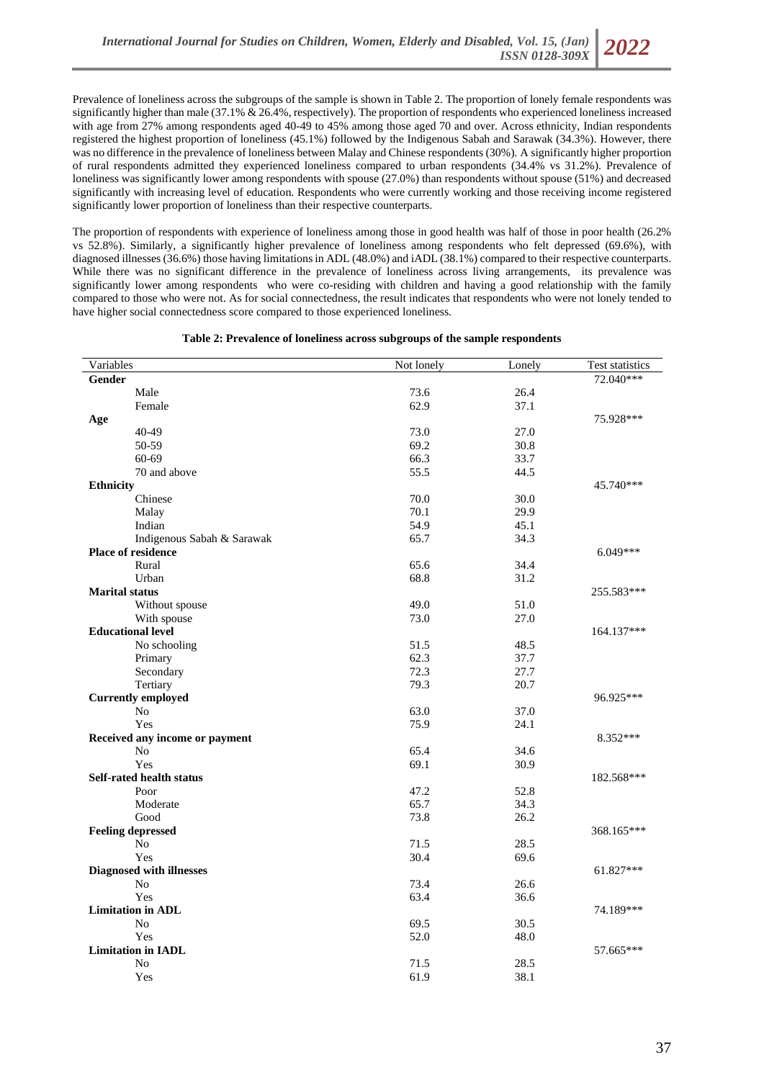Prevalence of loneliness across the subgroups of the sample is shown in Table 2. The proportion of lonely female respondents was significantly higher than male (37.1% & 26.4%, respectively). The proportion of respondents who experienced loneliness increased with age from 27% among respondents aged 40-49 to 45% among those aged 70 and over. Across ethnicity, Indian respondents registered the highest proportion of loneliness (45.1%) followed by the Indigenous Sabah and Sarawak (34.3%). However, there was no difference in the prevalence of loneliness between Malay and Chinese respondents (30%). A significantly higher proportion of rural respondents admitted they experienced loneliness compared to urban respondents (34.4% vs 31.2%). Prevalence of loneliness was significantly lower among respondents with spouse (27.0%) than respondents without spouse (51%) and decreased significantly with increasing level of education. Respondents who were currently working and those receiving income registered significantly lower proportion of loneliness than their respective counterparts.

The proportion of respondents with experience of loneliness among those in good health was half of those in poor health (26.2% vs 52.8%). Similarly, a significantly higher prevalence of loneliness among respondents who felt depressed (69.6%), with diagnosed illnesses (36.6%) those having limitations in ADL (48.0%) and iADL (38.1%) compared to their respective counterparts. While there was no significant difference in the prevalence of loneliness across living arrangements, its prevalence was significantly lower among respondents who were co-residing with children and having a good relationship with the family compared to those who were not. As for social connectedness, the result indicates that respondents who were not lonely tended to have higher social connectedness score compared to those experienced loneliness.

| Test statistics<br>72.040***<br><b>Gender</b><br>Male<br>73.6<br>26.4<br>62.9<br>37.1<br>Female<br>75.928***<br>Age<br>40-49<br>73.0<br>27.0<br>50-59<br>69.2<br>30.8<br>$60 - 69$<br>66.3<br>33.7<br>70 and above<br>55.5<br>44.5<br>45.740***<br><b>Ethnicity</b><br>Chinese<br>70.0<br>30.0<br>70.1<br>29.9<br>Malay<br>Indian<br>54.9<br>45.1<br>Indigenous Sabah & Sarawak<br>65.7<br>34.3<br><b>Place of residence</b><br>6.049***<br>Rural<br>65.6<br>34.4<br>Urban<br>68.8<br>31.2<br><b>Marital status</b><br>255.583***<br>49.0<br>51.0<br>Without spouse<br>73.0<br>27.0<br>With spouse<br><b>Educational level</b><br>164.137***<br>51.5<br>48.5<br>No schooling<br>62.3<br>37.7<br>Primary<br>Secondary<br>72.3<br>27.7<br>Tertiary<br>79.3<br>20.7<br><b>Currently employed</b><br>96.925***<br>N <sub>o</sub><br>63.0<br>37.0<br>Yes<br>75.9<br>24.1<br>8.352***<br>Received any income or payment<br>No<br>65.4<br>34.6<br>Yes<br>69.1<br>30.9<br><b>Self-rated health status</b><br>182.568***<br>47.2<br>52.8<br>Poor<br>65.7<br>34.3<br>Moderate<br>Good<br>73.8<br>26.2 |
|---------------------------------------------------------------------------------------------------------------------------------------------------------------------------------------------------------------------------------------------------------------------------------------------------------------------------------------------------------------------------------------------------------------------------------------------------------------------------------------------------------------------------------------------------------------------------------------------------------------------------------------------------------------------------------------------------------------------------------------------------------------------------------------------------------------------------------------------------------------------------------------------------------------------------------------------------------------------------------------------------------------------------------------------------------------------------------------------|
|                                                                                                                                                                                                                                                                                                                                                                                                                                                                                                                                                                                                                                                                                                                                                                                                                                                                                                                                                                                                                                                                                             |
|                                                                                                                                                                                                                                                                                                                                                                                                                                                                                                                                                                                                                                                                                                                                                                                                                                                                                                                                                                                                                                                                                             |
|                                                                                                                                                                                                                                                                                                                                                                                                                                                                                                                                                                                                                                                                                                                                                                                                                                                                                                                                                                                                                                                                                             |
|                                                                                                                                                                                                                                                                                                                                                                                                                                                                                                                                                                                                                                                                                                                                                                                                                                                                                                                                                                                                                                                                                             |
|                                                                                                                                                                                                                                                                                                                                                                                                                                                                                                                                                                                                                                                                                                                                                                                                                                                                                                                                                                                                                                                                                             |
|                                                                                                                                                                                                                                                                                                                                                                                                                                                                                                                                                                                                                                                                                                                                                                                                                                                                                                                                                                                                                                                                                             |
|                                                                                                                                                                                                                                                                                                                                                                                                                                                                                                                                                                                                                                                                                                                                                                                                                                                                                                                                                                                                                                                                                             |
|                                                                                                                                                                                                                                                                                                                                                                                                                                                                                                                                                                                                                                                                                                                                                                                                                                                                                                                                                                                                                                                                                             |
|                                                                                                                                                                                                                                                                                                                                                                                                                                                                                                                                                                                                                                                                                                                                                                                                                                                                                                                                                                                                                                                                                             |
|                                                                                                                                                                                                                                                                                                                                                                                                                                                                                                                                                                                                                                                                                                                                                                                                                                                                                                                                                                                                                                                                                             |
|                                                                                                                                                                                                                                                                                                                                                                                                                                                                                                                                                                                                                                                                                                                                                                                                                                                                                                                                                                                                                                                                                             |
|                                                                                                                                                                                                                                                                                                                                                                                                                                                                                                                                                                                                                                                                                                                                                                                                                                                                                                                                                                                                                                                                                             |
|                                                                                                                                                                                                                                                                                                                                                                                                                                                                                                                                                                                                                                                                                                                                                                                                                                                                                                                                                                                                                                                                                             |
|                                                                                                                                                                                                                                                                                                                                                                                                                                                                                                                                                                                                                                                                                                                                                                                                                                                                                                                                                                                                                                                                                             |
|                                                                                                                                                                                                                                                                                                                                                                                                                                                                                                                                                                                                                                                                                                                                                                                                                                                                                                                                                                                                                                                                                             |
|                                                                                                                                                                                                                                                                                                                                                                                                                                                                                                                                                                                                                                                                                                                                                                                                                                                                                                                                                                                                                                                                                             |
|                                                                                                                                                                                                                                                                                                                                                                                                                                                                                                                                                                                                                                                                                                                                                                                                                                                                                                                                                                                                                                                                                             |
|                                                                                                                                                                                                                                                                                                                                                                                                                                                                                                                                                                                                                                                                                                                                                                                                                                                                                                                                                                                                                                                                                             |
|                                                                                                                                                                                                                                                                                                                                                                                                                                                                                                                                                                                                                                                                                                                                                                                                                                                                                                                                                                                                                                                                                             |
|                                                                                                                                                                                                                                                                                                                                                                                                                                                                                                                                                                                                                                                                                                                                                                                                                                                                                                                                                                                                                                                                                             |
|                                                                                                                                                                                                                                                                                                                                                                                                                                                                                                                                                                                                                                                                                                                                                                                                                                                                                                                                                                                                                                                                                             |
|                                                                                                                                                                                                                                                                                                                                                                                                                                                                                                                                                                                                                                                                                                                                                                                                                                                                                                                                                                                                                                                                                             |
|                                                                                                                                                                                                                                                                                                                                                                                                                                                                                                                                                                                                                                                                                                                                                                                                                                                                                                                                                                                                                                                                                             |
|                                                                                                                                                                                                                                                                                                                                                                                                                                                                                                                                                                                                                                                                                                                                                                                                                                                                                                                                                                                                                                                                                             |
|                                                                                                                                                                                                                                                                                                                                                                                                                                                                                                                                                                                                                                                                                                                                                                                                                                                                                                                                                                                                                                                                                             |
|                                                                                                                                                                                                                                                                                                                                                                                                                                                                                                                                                                                                                                                                                                                                                                                                                                                                                                                                                                                                                                                                                             |
|                                                                                                                                                                                                                                                                                                                                                                                                                                                                                                                                                                                                                                                                                                                                                                                                                                                                                                                                                                                                                                                                                             |
|                                                                                                                                                                                                                                                                                                                                                                                                                                                                                                                                                                                                                                                                                                                                                                                                                                                                                                                                                                                                                                                                                             |
|                                                                                                                                                                                                                                                                                                                                                                                                                                                                                                                                                                                                                                                                                                                                                                                                                                                                                                                                                                                                                                                                                             |
|                                                                                                                                                                                                                                                                                                                                                                                                                                                                                                                                                                                                                                                                                                                                                                                                                                                                                                                                                                                                                                                                                             |
|                                                                                                                                                                                                                                                                                                                                                                                                                                                                                                                                                                                                                                                                                                                                                                                                                                                                                                                                                                                                                                                                                             |
|                                                                                                                                                                                                                                                                                                                                                                                                                                                                                                                                                                                                                                                                                                                                                                                                                                                                                                                                                                                                                                                                                             |
|                                                                                                                                                                                                                                                                                                                                                                                                                                                                                                                                                                                                                                                                                                                                                                                                                                                                                                                                                                                                                                                                                             |
| <b>Feeling depressed</b><br>368.165***                                                                                                                                                                                                                                                                                                                                                                                                                                                                                                                                                                                                                                                                                                                                                                                                                                                                                                                                                                                                                                                      |
| No<br>71.5<br>28.5                                                                                                                                                                                                                                                                                                                                                                                                                                                                                                                                                                                                                                                                                                                                                                                                                                                                                                                                                                                                                                                                          |
| Yes<br>30.4<br>69.6                                                                                                                                                                                                                                                                                                                                                                                                                                                                                                                                                                                                                                                                                                                                                                                                                                                                                                                                                                                                                                                                         |
| <b>Diagnosed with illnesses</b><br>61.827***                                                                                                                                                                                                                                                                                                                                                                                                                                                                                                                                                                                                                                                                                                                                                                                                                                                                                                                                                                                                                                                |
| No<br>73.4<br>26.6                                                                                                                                                                                                                                                                                                                                                                                                                                                                                                                                                                                                                                                                                                                                                                                                                                                                                                                                                                                                                                                                          |
| 63.4<br>Yes<br>36.6                                                                                                                                                                                                                                                                                                                                                                                                                                                                                                                                                                                                                                                                                                                                                                                                                                                                                                                                                                                                                                                                         |
| <b>Limitation</b> in ADL<br>74.189***                                                                                                                                                                                                                                                                                                                                                                                                                                                                                                                                                                                                                                                                                                                                                                                                                                                                                                                                                                                                                                                       |
| N <sub>o</sub><br>69.5<br>30.5                                                                                                                                                                                                                                                                                                                                                                                                                                                                                                                                                                                                                                                                                                                                                                                                                                                                                                                                                                                                                                                              |
| 52.0<br>Yes<br>48.0                                                                                                                                                                                                                                                                                                                                                                                                                                                                                                                                                                                                                                                                                                                                                                                                                                                                                                                                                                                                                                                                         |
| <b>Limitation in IADL</b><br>57.665***                                                                                                                                                                                                                                                                                                                                                                                                                                                                                                                                                                                                                                                                                                                                                                                                                                                                                                                                                                                                                                                      |
| N <sub>0</sub><br>71.5<br>28.5                                                                                                                                                                                                                                                                                                                                                                                                                                                                                                                                                                                                                                                                                                                                                                                                                                                                                                                                                                                                                                                              |
| 61.9<br>38.1<br>Yes                                                                                                                                                                                                                                                                                                                                                                                                                                                                                                                                                                                                                                                                                                                                                                                                                                                                                                                                                                                                                                                                         |

#### **Table 2: Prevalence of loneliness across subgroups of the sample respondents**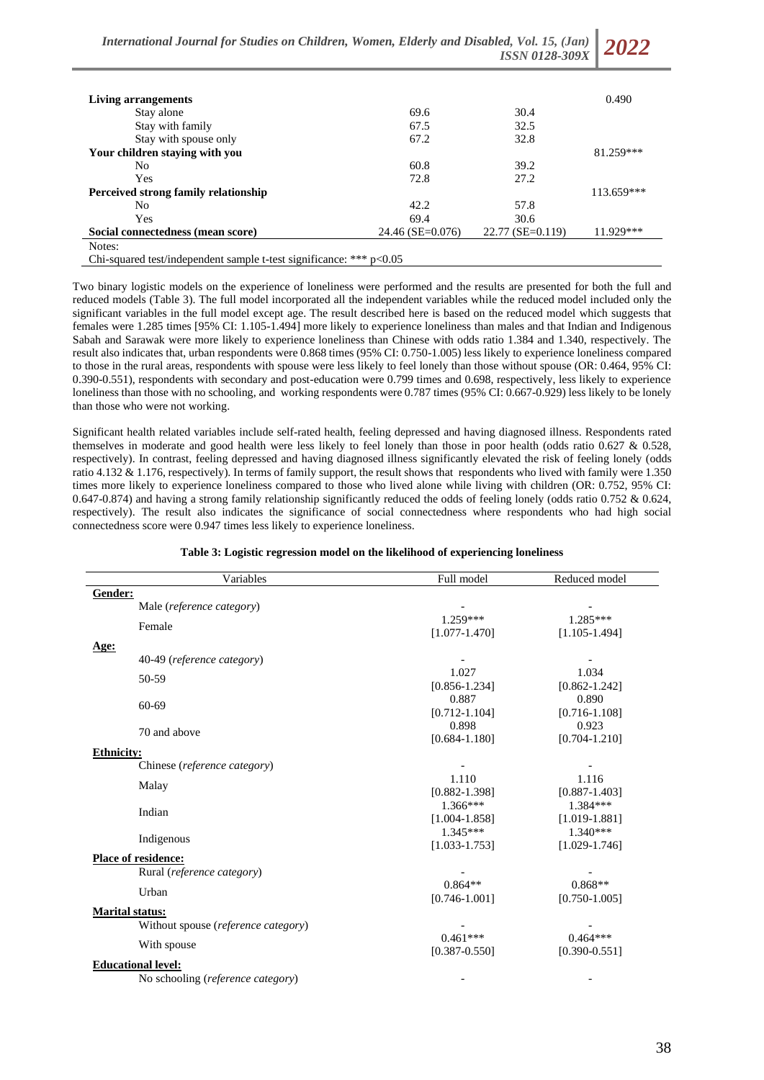*International Journal for Studies on Children, Women, Elderly and Disabled, Vol. 15, (Jan) ISSN 0128-309X* 

| Living arrangements                                                   |                  |                    | 0.490      |  |  |
|-----------------------------------------------------------------------|------------------|--------------------|------------|--|--|
| Stay alone                                                            | 69.6             | 30.4               |            |  |  |
| Stay with family                                                      | 67.5             | 32.5               |            |  |  |
| Stay with spouse only                                                 | 67.2             | 32.8               |            |  |  |
| Your children staying with you                                        |                  |                    | 81.259***  |  |  |
| No.                                                                   | 60.8             | 39.2               |            |  |  |
| Yes                                                                   | 72.8             | 27.2               |            |  |  |
| Perceived strong family relationship                                  |                  |                    | 113.659*** |  |  |
| No                                                                    | 42.2             | 57.8               |            |  |  |
| Yes                                                                   | 69.4             | 30.6               |            |  |  |
| Social connectedness (mean score)                                     | 24.46 (SE=0.076) | $22.77$ (SE=0.119) | 11.929***  |  |  |
| Notes:                                                                |                  |                    |            |  |  |
| Chi-squared test/independent sample t-test significance: *** $p<0.05$ |                  |                    |            |  |  |

Two binary logistic models on the experience of loneliness were performed and the results are presented for both the full and reduced models (Table 3). The full model incorporated all the independent variables while the reduced model included only the significant variables in the full model except age. The result described here is based on the reduced model which suggests that females were 1.285 times [95% CI: 1.105-1.494] more likely to experience loneliness than males and that Indian and Indigenous Sabah and Sarawak were more likely to experience loneliness than Chinese with odds ratio 1.384 and 1.340, respectively. The result also indicates that, urban respondents were 0.868 times (95% CI: 0.750-1.005) less likely to experience loneliness compared to those in the rural areas, respondents with spouse were less likely to feel lonely than those without spouse (OR: 0.464, 95% CI: 0.390-0.551), respondents with secondary and post-education were 0.799 times and 0.698, respectively, less likely to experience loneliness than those with no schooling, and working respondents were 0.787 times (95% CI: 0.667-0.929) less likely to be lonely

than those who were not working.

Significant health related variables include self-rated health, feeling depressed and having diagnosed illness. Respondents rated themselves in moderate and good health were less likely to feel lonely than those in poor health (odds ratio 0.627 & 0.528, respectively). In contrast, feeling depressed and having diagnosed illness significantly elevated the risk of feeling lonely (odds ratio 4.132 & 1.176, respectively). In terms of family support, the result shows that respondents who lived with family were 1.350 times more likely to experience loneliness compared to those who lived alone while living with children (OR: 0.752, 95% CI: 0.647-0.874) and having a strong family relationship significantly reduced the odds of feeling lonely (odds ratio 0.752 & 0.624, respectively). The result also indicates the significance of social connectedness where respondents who had high social connectedness score were 0.947 times less likely to experience loneliness.

| Variables                                    | Full model        | Reduced model     |
|----------------------------------------------|-------------------|-------------------|
| Gender:                                      |                   |                   |
| Male (reference category)                    |                   |                   |
| Female                                       | $1.259***$        | 1.285***          |
|                                              | $[1.077 - 1.470]$ | $[1.105 - 1.494]$ |
| Age:                                         |                   |                   |
| 40-49 (reference category)                   |                   |                   |
| 50-59                                        | 1.027             | 1.034             |
|                                              | $[0.856 - 1.234]$ | $[0.862 - 1.242]$ |
| $60 - 69$                                    | 0.887             | 0.890             |
|                                              | $[0.712 - 1.104]$ | $[0.716 - 1.108]$ |
| 70 and above                                 | 0.898             | 0.923             |
|                                              | $[0.684 - 1.180]$ | $[0.704 - 1.210]$ |
| <b>Ethnicity:</b>                            |                   |                   |
| Chinese (reference category)                 | 1.110             | 1.116             |
| Malay                                        | $[0.882 - 1.398]$ | $[0.887 - 1.403]$ |
| Indian                                       | $1.366***$        | $1.384***$        |
|                                              | $[1.004 - 1.858]$ | $[1.019 - 1.881]$ |
|                                              | $1.345***$        | $1.340***$        |
| Indigenous                                   | $[1.033 - 1.753]$ | $[1.029 - 1.746]$ |
| <b>Place of residence:</b>                   |                   |                   |
| Rural (reference category)                   |                   |                   |
| Urban                                        | $0.864**$         | $0.868**$         |
|                                              | $[0.746 - 1.001]$ | $[0.750 - 1.005]$ |
| <b>Marital status:</b>                       |                   |                   |
| Without spouse ( <i>reference category</i> ) |                   |                   |
|                                              | $0.461***$        | $0.464***$        |
| With spouse                                  | $[0.387 - 0.550]$ | $[0.390 - 0.551]$ |
| <b>Educational level:</b>                    |                   |                   |
| No schooling (reference category)            |                   |                   |

## **Table 3: Logistic regression model on the likelihood of experiencing loneliness**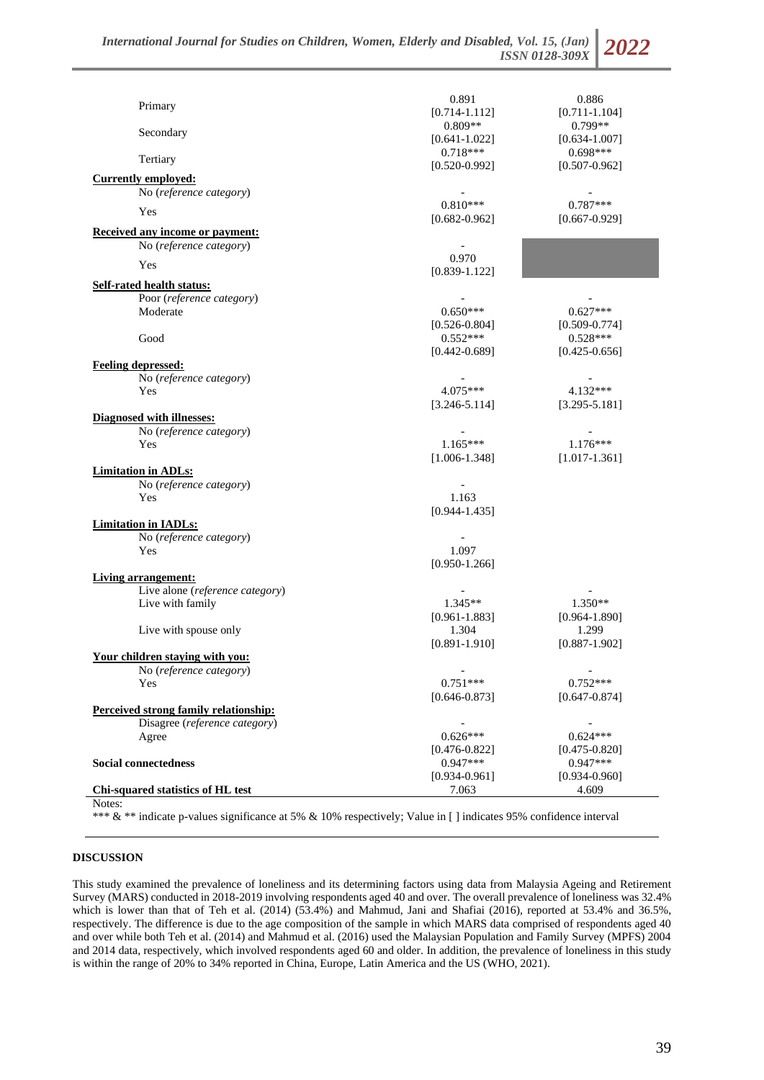| $[0.714 - 1.112]$<br>$0.809**$<br>$0.799**$<br>Secondary<br>$[0.634 - 1.007]$<br>$[0.641 - 1.022]$<br>$0.698***$<br>$0.718***$<br>Tertiary<br>$[0.520 - 0.992]$<br>$[0.507 - 0.962]$<br><b>Currently employed:</b><br>No (reference category)<br>$0.810***$<br>$0.787***$<br>Yes<br>$[0.682 - 0.962]$<br>$[0.667 - 0.929]$<br>Received any income or payment:<br>No (reference category)<br>0.970<br>Yes<br>$[0.839 - 1.122]$<br><b>Self-rated health status:</b><br>Poor (reference category)<br>$0.650***$<br>$0.627***$<br>Moderate<br>$[0.526 - 0.804]$<br>$[0.509 - 0.774]$<br>Good<br>$0.552***$<br>$0.528***$<br>$[0.442 - 0.689]$<br>$[0.425 - 0.656]$<br><b>Feeling depressed:</b><br>No (reference category)<br>$\overline{\phantom{a}}$<br>$4.075***$<br>$4.132***$<br>Yes<br>$[3.246 - 5.114]$<br>$[3.295 - 5.181]$<br>Diagnosed with illnesses:<br>No (reference category)<br>$\overline{\phantom{a}}$<br>$1.165***$<br>$1.176***$<br>Yes<br>$[1.006 - 1.348]$<br>$[1.017 - 1.361]$<br><b>Limitation in ADLs:</b><br>No (reference category)<br>Yes<br>1.163<br>$[0.944 - 1.435]$<br><b>Limitation in IADLs:</b><br>No (reference category)<br>1.097<br>Yes<br>$[0.950 - 1.266]$<br><b>Living arrangement:</b><br>Live alone (reference category)<br>$1.345**$<br>$1.350**$<br>Live with family<br>$[0.964 - 1.890]$<br>$[0.961 - 1.883]$<br>1.299<br>Live with spouse only<br>1.304<br>$[0.891 - 1.910]$<br>$[0.887 - 1.902]$<br><u>Your children staying with you:</u><br>No (reference category)<br>$\overline{\phantom{a}}$<br>$\overline{\phantom{a}}$<br>$0.751***$<br>$0.752***$<br>Yes<br>$[0.646 - 0.873]$<br>$[0.647 - 0.874]$<br>Perceived strong family relationship:<br>Disagree (reference category)<br>$0.626***$<br>$0.624***$<br>Agree<br>$[0.476 - 0.822]$<br>$[0.475 - 0.820]$<br>$0.947***$<br>$0.947***$<br><b>Social connectedness</b><br>$[0.934 - 0.961]$<br>$[0.934 - 0.960]$ | Primary                           | 0.891 | 0.886             |
|---------------------------------------------------------------------------------------------------------------------------------------------------------------------------------------------------------------------------------------------------------------------------------------------------------------------------------------------------------------------------------------------------------------------------------------------------------------------------------------------------------------------------------------------------------------------------------------------------------------------------------------------------------------------------------------------------------------------------------------------------------------------------------------------------------------------------------------------------------------------------------------------------------------------------------------------------------------------------------------------------------------------------------------------------------------------------------------------------------------------------------------------------------------------------------------------------------------------------------------------------------------------------------------------------------------------------------------------------------------------------------------------------------------------------------------------------------------------------------------------------------------------------------------------------------------------------------------------------------------------------------------------------------------------------------------------------------------------------------------------------------------------------------------------------------------------------------------------------------------------------------------------------------------------|-----------------------------------|-------|-------------------|
|                                                                                                                                                                                                                                                                                                                                                                                                                                                                                                                                                                                                                                                                                                                                                                                                                                                                                                                                                                                                                                                                                                                                                                                                                                                                                                                                                                                                                                                                                                                                                                                                                                                                                                                                                                                                                                                                                                                     |                                   |       | $[0.711 - 1.104]$ |
|                                                                                                                                                                                                                                                                                                                                                                                                                                                                                                                                                                                                                                                                                                                                                                                                                                                                                                                                                                                                                                                                                                                                                                                                                                                                                                                                                                                                                                                                                                                                                                                                                                                                                                                                                                                                                                                                                                                     |                                   |       |                   |
|                                                                                                                                                                                                                                                                                                                                                                                                                                                                                                                                                                                                                                                                                                                                                                                                                                                                                                                                                                                                                                                                                                                                                                                                                                                                                                                                                                                                                                                                                                                                                                                                                                                                                                                                                                                                                                                                                                                     |                                   |       |                   |
|                                                                                                                                                                                                                                                                                                                                                                                                                                                                                                                                                                                                                                                                                                                                                                                                                                                                                                                                                                                                                                                                                                                                                                                                                                                                                                                                                                                                                                                                                                                                                                                                                                                                                                                                                                                                                                                                                                                     |                                   |       |                   |
|                                                                                                                                                                                                                                                                                                                                                                                                                                                                                                                                                                                                                                                                                                                                                                                                                                                                                                                                                                                                                                                                                                                                                                                                                                                                                                                                                                                                                                                                                                                                                                                                                                                                                                                                                                                                                                                                                                                     |                                   |       |                   |
|                                                                                                                                                                                                                                                                                                                                                                                                                                                                                                                                                                                                                                                                                                                                                                                                                                                                                                                                                                                                                                                                                                                                                                                                                                                                                                                                                                                                                                                                                                                                                                                                                                                                                                                                                                                                                                                                                                                     |                                   |       |                   |
|                                                                                                                                                                                                                                                                                                                                                                                                                                                                                                                                                                                                                                                                                                                                                                                                                                                                                                                                                                                                                                                                                                                                                                                                                                                                                                                                                                                                                                                                                                                                                                                                                                                                                                                                                                                                                                                                                                                     |                                   |       |                   |
|                                                                                                                                                                                                                                                                                                                                                                                                                                                                                                                                                                                                                                                                                                                                                                                                                                                                                                                                                                                                                                                                                                                                                                                                                                                                                                                                                                                                                                                                                                                                                                                                                                                                                                                                                                                                                                                                                                                     |                                   |       |                   |
|                                                                                                                                                                                                                                                                                                                                                                                                                                                                                                                                                                                                                                                                                                                                                                                                                                                                                                                                                                                                                                                                                                                                                                                                                                                                                                                                                                                                                                                                                                                                                                                                                                                                                                                                                                                                                                                                                                                     |                                   |       |                   |
|                                                                                                                                                                                                                                                                                                                                                                                                                                                                                                                                                                                                                                                                                                                                                                                                                                                                                                                                                                                                                                                                                                                                                                                                                                                                                                                                                                                                                                                                                                                                                                                                                                                                                                                                                                                                                                                                                                                     |                                   |       |                   |
|                                                                                                                                                                                                                                                                                                                                                                                                                                                                                                                                                                                                                                                                                                                                                                                                                                                                                                                                                                                                                                                                                                                                                                                                                                                                                                                                                                                                                                                                                                                                                                                                                                                                                                                                                                                                                                                                                                                     |                                   |       |                   |
|                                                                                                                                                                                                                                                                                                                                                                                                                                                                                                                                                                                                                                                                                                                                                                                                                                                                                                                                                                                                                                                                                                                                                                                                                                                                                                                                                                                                                                                                                                                                                                                                                                                                                                                                                                                                                                                                                                                     |                                   |       |                   |
|                                                                                                                                                                                                                                                                                                                                                                                                                                                                                                                                                                                                                                                                                                                                                                                                                                                                                                                                                                                                                                                                                                                                                                                                                                                                                                                                                                                                                                                                                                                                                                                                                                                                                                                                                                                                                                                                                                                     |                                   |       |                   |
|                                                                                                                                                                                                                                                                                                                                                                                                                                                                                                                                                                                                                                                                                                                                                                                                                                                                                                                                                                                                                                                                                                                                                                                                                                                                                                                                                                                                                                                                                                                                                                                                                                                                                                                                                                                                                                                                                                                     |                                   |       |                   |
|                                                                                                                                                                                                                                                                                                                                                                                                                                                                                                                                                                                                                                                                                                                                                                                                                                                                                                                                                                                                                                                                                                                                                                                                                                                                                                                                                                                                                                                                                                                                                                                                                                                                                                                                                                                                                                                                                                                     |                                   |       |                   |
|                                                                                                                                                                                                                                                                                                                                                                                                                                                                                                                                                                                                                                                                                                                                                                                                                                                                                                                                                                                                                                                                                                                                                                                                                                                                                                                                                                                                                                                                                                                                                                                                                                                                                                                                                                                                                                                                                                                     |                                   |       |                   |
|                                                                                                                                                                                                                                                                                                                                                                                                                                                                                                                                                                                                                                                                                                                                                                                                                                                                                                                                                                                                                                                                                                                                                                                                                                                                                                                                                                                                                                                                                                                                                                                                                                                                                                                                                                                                                                                                                                                     |                                   |       |                   |
|                                                                                                                                                                                                                                                                                                                                                                                                                                                                                                                                                                                                                                                                                                                                                                                                                                                                                                                                                                                                                                                                                                                                                                                                                                                                                                                                                                                                                                                                                                                                                                                                                                                                                                                                                                                                                                                                                                                     |                                   |       |                   |
|                                                                                                                                                                                                                                                                                                                                                                                                                                                                                                                                                                                                                                                                                                                                                                                                                                                                                                                                                                                                                                                                                                                                                                                                                                                                                                                                                                                                                                                                                                                                                                                                                                                                                                                                                                                                                                                                                                                     |                                   |       |                   |
|                                                                                                                                                                                                                                                                                                                                                                                                                                                                                                                                                                                                                                                                                                                                                                                                                                                                                                                                                                                                                                                                                                                                                                                                                                                                                                                                                                                                                                                                                                                                                                                                                                                                                                                                                                                                                                                                                                                     |                                   |       |                   |
|                                                                                                                                                                                                                                                                                                                                                                                                                                                                                                                                                                                                                                                                                                                                                                                                                                                                                                                                                                                                                                                                                                                                                                                                                                                                                                                                                                                                                                                                                                                                                                                                                                                                                                                                                                                                                                                                                                                     |                                   |       |                   |
|                                                                                                                                                                                                                                                                                                                                                                                                                                                                                                                                                                                                                                                                                                                                                                                                                                                                                                                                                                                                                                                                                                                                                                                                                                                                                                                                                                                                                                                                                                                                                                                                                                                                                                                                                                                                                                                                                                                     |                                   |       |                   |
|                                                                                                                                                                                                                                                                                                                                                                                                                                                                                                                                                                                                                                                                                                                                                                                                                                                                                                                                                                                                                                                                                                                                                                                                                                                                                                                                                                                                                                                                                                                                                                                                                                                                                                                                                                                                                                                                                                                     |                                   |       |                   |
|                                                                                                                                                                                                                                                                                                                                                                                                                                                                                                                                                                                                                                                                                                                                                                                                                                                                                                                                                                                                                                                                                                                                                                                                                                                                                                                                                                                                                                                                                                                                                                                                                                                                                                                                                                                                                                                                                                                     |                                   |       |                   |
|                                                                                                                                                                                                                                                                                                                                                                                                                                                                                                                                                                                                                                                                                                                                                                                                                                                                                                                                                                                                                                                                                                                                                                                                                                                                                                                                                                                                                                                                                                                                                                                                                                                                                                                                                                                                                                                                                                                     |                                   |       |                   |
|                                                                                                                                                                                                                                                                                                                                                                                                                                                                                                                                                                                                                                                                                                                                                                                                                                                                                                                                                                                                                                                                                                                                                                                                                                                                                                                                                                                                                                                                                                                                                                                                                                                                                                                                                                                                                                                                                                                     |                                   |       |                   |
|                                                                                                                                                                                                                                                                                                                                                                                                                                                                                                                                                                                                                                                                                                                                                                                                                                                                                                                                                                                                                                                                                                                                                                                                                                                                                                                                                                                                                                                                                                                                                                                                                                                                                                                                                                                                                                                                                                                     |                                   |       |                   |
|                                                                                                                                                                                                                                                                                                                                                                                                                                                                                                                                                                                                                                                                                                                                                                                                                                                                                                                                                                                                                                                                                                                                                                                                                                                                                                                                                                                                                                                                                                                                                                                                                                                                                                                                                                                                                                                                                                                     |                                   |       |                   |
|                                                                                                                                                                                                                                                                                                                                                                                                                                                                                                                                                                                                                                                                                                                                                                                                                                                                                                                                                                                                                                                                                                                                                                                                                                                                                                                                                                                                                                                                                                                                                                                                                                                                                                                                                                                                                                                                                                                     |                                   |       |                   |
|                                                                                                                                                                                                                                                                                                                                                                                                                                                                                                                                                                                                                                                                                                                                                                                                                                                                                                                                                                                                                                                                                                                                                                                                                                                                                                                                                                                                                                                                                                                                                                                                                                                                                                                                                                                                                                                                                                                     |                                   |       |                   |
|                                                                                                                                                                                                                                                                                                                                                                                                                                                                                                                                                                                                                                                                                                                                                                                                                                                                                                                                                                                                                                                                                                                                                                                                                                                                                                                                                                                                                                                                                                                                                                                                                                                                                                                                                                                                                                                                                                                     |                                   |       |                   |
|                                                                                                                                                                                                                                                                                                                                                                                                                                                                                                                                                                                                                                                                                                                                                                                                                                                                                                                                                                                                                                                                                                                                                                                                                                                                                                                                                                                                                                                                                                                                                                                                                                                                                                                                                                                                                                                                                                                     |                                   |       |                   |
|                                                                                                                                                                                                                                                                                                                                                                                                                                                                                                                                                                                                                                                                                                                                                                                                                                                                                                                                                                                                                                                                                                                                                                                                                                                                                                                                                                                                                                                                                                                                                                                                                                                                                                                                                                                                                                                                                                                     |                                   |       |                   |
|                                                                                                                                                                                                                                                                                                                                                                                                                                                                                                                                                                                                                                                                                                                                                                                                                                                                                                                                                                                                                                                                                                                                                                                                                                                                                                                                                                                                                                                                                                                                                                                                                                                                                                                                                                                                                                                                                                                     |                                   |       |                   |
|                                                                                                                                                                                                                                                                                                                                                                                                                                                                                                                                                                                                                                                                                                                                                                                                                                                                                                                                                                                                                                                                                                                                                                                                                                                                                                                                                                                                                                                                                                                                                                                                                                                                                                                                                                                                                                                                                                                     |                                   |       |                   |
|                                                                                                                                                                                                                                                                                                                                                                                                                                                                                                                                                                                                                                                                                                                                                                                                                                                                                                                                                                                                                                                                                                                                                                                                                                                                                                                                                                                                                                                                                                                                                                                                                                                                                                                                                                                                                                                                                                                     |                                   |       |                   |
|                                                                                                                                                                                                                                                                                                                                                                                                                                                                                                                                                                                                                                                                                                                                                                                                                                                                                                                                                                                                                                                                                                                                                                                                                                                                                                                                                                                                                                                                                                                                                                                                                                                                                                                                                                                                                                                                                                                     |                                   |       |                   |
|                                                                                                                                                                                                                                                                                                                                                                                                                                                                                                                                                                                                                                                                                                                                                                                                                                                                                                                                                                                                                                                                                                                                                                                                                                                                                                                                                                                                                                                                                                                                                                                                                                                                                                                                                                                                                                                                                                                     |                                   |       |                   |
|                                                                                                                                                                                                                                                                                                                                                                                                                                                                                                                                                                                                                                                                                                                                                                                                                                                                                                                                                                                                                                                                                                                                                                                                                                                                                                                                                                                                                                                                                                                                                                                                                                                                                                                                                                                                                                                                                                                     |                                   |       |                   |
|                                                                                                                                                                                                                                                                                                                                                                                                                                                                                                                                                                                                                                                                                                                                                                                                                                                                                                                                                                                                                                                                                                                                                                                                                                                                                                                                                                                                                                                                                                                                                                                                                                                                                                                                                                                                                                                                                                                     |                                   |       |                   |
|                                                                                                                                                                                                                                                                                                                                                                                                                                                                                                                                                                                                                                                                                                                                                                                                                                                                                                                                                                                                                                                                                                                                                                                                                                                                                                                                                                                                                                                                                                                                                                                                                                                                                                                                                                                                                                                                                                                     |                                   |       |                   |
|                                                                                                                                                                                                                                                                                                                                                                                                                                                                                                                                                                                                                                                                                                                                                                                                                                                                                                                                                                                                                                                                                                                                                                                                                                                                                                                                                                                                                                                                                                                                                                                                                                                                                                                                                                                                                                                                                                                     |                                   |       |                   |
|                                                                                                                                                                                                                                                                                                                                                                                                                                                                                                                                                                                                                                                                                                                                                                                                                                                                                                                                                                                                                                                                                                                                                                                                                                                                                                                                                                                                                                                                                                                                                                                                                                                                                                                                                                                                                                                                                                                     |                                   |       |                   |
|                                                                                                                                                                                                                                                                                                                                                                                                                                                                                                                                                                                                                                                                                                                                                                                                                                                                                                                                                                                                                                                                                                                                                                                                                                                                                                                                                                                                                                                                                                                                                                                                                                                                                                                                                                                                                                                                                                                     |                                   |       |                   |
|                                                                                                                                                                                                                                                                                                                                                                                                                                                                                                                                                                                                                                                                                                                                                                                                                                                                                                                                                                                                                                                                                                                                                                                                                                                                                                                                                                                                                                                                                                                                                                                                                                                                                                                                                                                                                                                                                                                     |                                   |       |                   |
|                                                                                                                                                                                                                                                                                                                                                                                                                                                                                                                                                                                                                                                                                                                                                                                                                                                                                                                                                                                                                                                                                                                                                                                                                                                                                                                                                                                                                                                                                                                                                                                                                                                                                                                                                                                                                                                                                                                     |                                   |       |                   |
|                                                                                                                                                                                                                                                                                                                                                                                                                                                                                                                                                                                                                                                                                                                                                                                                                                                                                                                                                                                                                                                                                                                                                                                                                                                                                                                                                                                                                                                                                                                                                                                                                                                                                                                                                                                                                                                                                                                     |                                   |       |                   |
|                                                                                                                                                                                                                                                                                                                                                                                                                                                                                                                                                                                                                                                                                                                                                                                                                                                                                                                                                                                                                                                                                                                                                                                                                                                                                                                                                                                                                                                                                                                                                                                                                                                                                                                                                                                                                                                                                                                     |                                   |       |                   |
|                                                                                                                                                                                                                                                                                                                                                                                                                                                                                                                                                                                                                                                                                                                                                                                                                                                                                                                                                                                                                                                                                                                                                                                                                                                                                                                                                                                                                                                                                                                                                                                                                                                                                                                                                                                                                                                                                                                     | Chi-squared statistics of HL test | 7.063 | 4.609             |

Notes:

\*\*\* & \*\* indicate p-values significance at 5% & 10% respectively; Value in [ ] indicates 95% confidence interval

## **DISCUSSION**

This study examined the prevalence of loneliness and its determining factors using data from Malaysia Ageing and Retirement Survey (MARS) conducted in 2018-2019 involving respondents aged 40 and over. The overall prevalence of loneliness was 32.4% which is lower than that of Teh et al. (2014) (53.4%) and Mahmud, Jani and Shafiai (2016), reported at 53.4% and 36.5%, respectively. The difference is due to the age composition of the sample in which MARS data comprised of respondents aged 40 and over while both Teh et al. (2014) and Mahmud et al. (2016) used the Malaysian Population and Family Survey (MPFS) 2004 and 2014 data, respectively, which involved respondents aged 60 and older. In addition, the prevalence of loneliness in this study is within the range of 20% to 34% reported in China, Europe, Latin America and the US (WHO, 2021).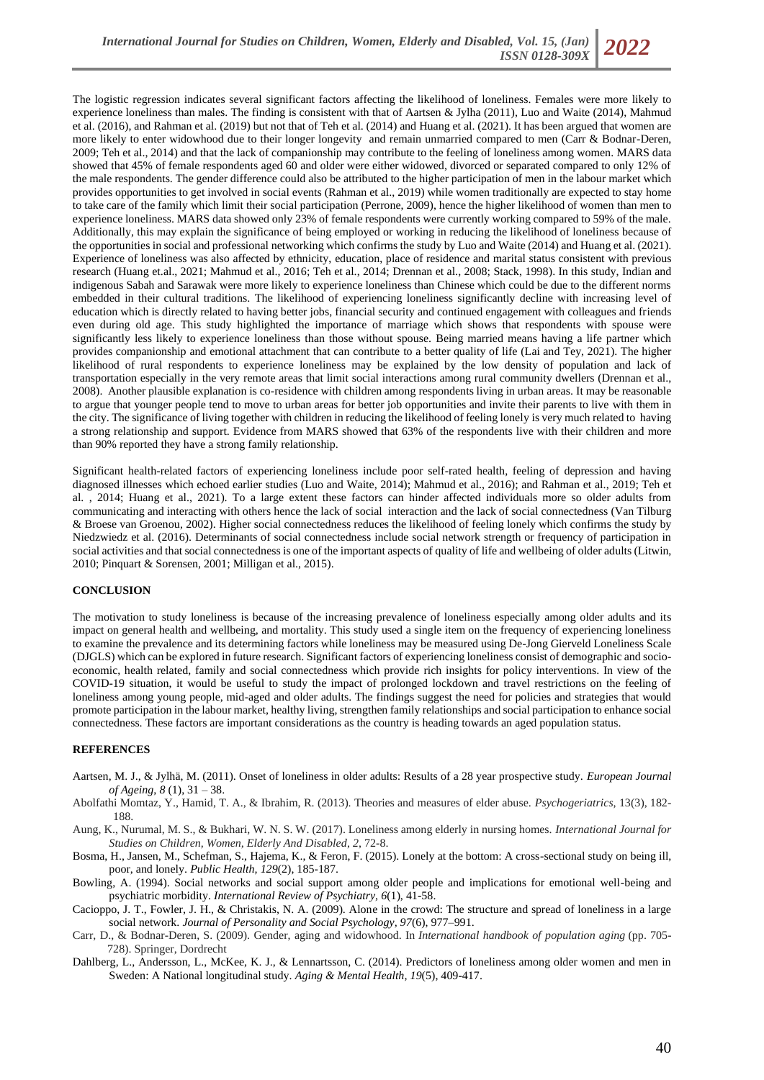The logistic regression indicates several significant factors affecting the likelihood of loneliness. Females were more likely to experience loneliness than males. The finding is consistent with that of Aartsen & Jylha (2011), Luo and Waite (2014), Mahmud et al. (2016), and Rahman et al. (2019) but not that of Teh et al. (2014) and Huang et al. (2021). It has been argued that women are more likely to enter widowhood due to their longer longevity and remain unmarried compared to men (Carr & Bodnar-Deren, 2009; Teh et al., 2014) and that the lack of companionship may contribute to the feeling of loneliness among women. MARS data showed that 45% of female respondents aged 60 and older were either widowed, divorced or separated compared to only 12% of the male respondents. The gender difference could also be attributed to the higher participation of men in the labour market which provides opportunities to get involved in social events (Rahman et al., 2019) while women traditionally are expected to stay home to take care of the family which limit their social participation (Perrone, 2009), hence the higher likelihood of women than men to experience loneliness. MARS data showed only 23% of female respondents were currently working compared to 59% of the male. Additionally, this may explain the significance of being employed or working in reducing the likelihood of loneliness because of the opportunities in social and professional networking which confirms the study by Luo and Waite (2014) and Huang et al. (2021). Experience of loneliness was also affected by ethnicity, education, place of residence and marital status consistent with previous research (Huang et.al., 2021; Mahmud et al., 2016; Teh et al., 2014; Drennan et al., 2008; Stack, 1998). In this study, Indian and indigenous Sabah and Sarawak were more likely to experience loneliness than Chinese which could be due to the different norms embedded in their cultural traditions. The likelihood of experiencing loneliness significantly decline with increasing level of education which is directly related to having better jobs, financial security and continued engagement with colleagues and friends even during old age. This study highlighted the importance of marriage which shows that respondents with spouse were significantly less likely to experience loneliness than those without spouse. Being married means having a life partner which provides companionship and emotional attachment that can contribute to a better quality of life (Lai and Tey, 2021). The higher likelihood of rural respondents to experience loneliness may be explained by the low density of population and lack of transportation especially in the very remote areas that limit social interactions among rural community dwellers (Drennan et al., 2008). Another plausible explanation is co-residence with children among respondents living in urban areas. It may be reasonable to argue that younger people tend to move to urban areas for better job opportunities and invite their parents to live with them in the city. The significance of living together with children in reducing the likelihood of feeling lonely is very much related to having a strong relationship and support. Evidence from MARS showed that 63% of the respondents live with their children and more than 90% reported they have a strong family relationship.

Significant health-related factors of experiencing loneliness include poor self-rated health, feeling of depression and having diagnosed illnesses which echoed earlier studies (Luo and Waite, 2014); Mahmud et al., 2016); and Rahman et al., 2019; Teh et al. , 2014; Huang et al., 2021). To a large extent these factors can hinder affected individuals more so older adults from communicating and interacting with others hence the lack of social interaction and the lack of social connectedness (Van Tilburg & Broese van Groenou, 2002). Higher social connectedness reduces the likelihood of feeling lonely which confirms the study by Niedzwiedz et al. (2016). Determinants of social connectedness include social network strength or frequency of participation in social activities and that social connectedness is one of the important aspects of quality of life and wellbeing of older adults (Litwin, 2010; Pinquart & Sorensen, 2001; Milligan et al., 2015).

### **CONCLUSION**

The motivation to study loneliness is because of the increasing prevalence of loneliness especially among older adults and its impact on general health and wellbeing, and mortality. This study used a single item on the frequency of experiencing loneliness to examine the prevalence and its determining factors while loneliness may be measured using De-Jong Gierveld Loneliness Scale (DJGLS) which can be explored in future research. Significant factors of experiencing loneliness consist of demographic and socioeconomic, health related, family and social connectedness which provide rich insights for policy interventions. In view of the COVID-19 situation, it would be useful to study the impact of prolonged lockdown and travel restrictions on the feeling of loneliness among young people, mid-aged and older adults. The findings suggest the need for policies and strategies that would promote participation in the labour market, healthy living, strengthen family relationships and social participation to enhance social connectedness. These factors are important considerations as the country is heading towards an aged population status.

## **REFERENCES**

- Aartsen, M. J., & Jylhä, M. (2011). Onset of loneliness in older adults: Results of a 28 year prospective study. *European Journal of Ageing*, *8* (1), 31 – 38.
- Abolfathi Momtaz, Y., Hamid, T. A., & Ibrahim, R. (2013). Theories and measures of elder abuse. *Psychogeriatrics*, 13(3), 182- 188.
- Aung, K., Nurumal, M. S., & Bukhari, W. N. S. W. (2017). Loneliness among elderly in nursing homes. *International Journal for Studies on Children, Women, Elderly And Disabled*, *2*, 72-8.
- Bosma, H., Jansen, M., Schefman, S., Hajema, K., & Feron, F. (2015). Lonely at the bottom: A cross-sectional study on being ill, poor, and lonely. *Public Health, 129*(2), 185-187.
- Bowling, A. (1994). Social networks and social support among older people and implications for emotional well-being and psychiatric morbidity. *International Review of Psychiatry, 6*(1), 41-58.
- Cacioppo, J. T., Fowler, J. H., & Christakis, N. A. (2009). Alone in the crowd: The structure and spread of loneliness in a large social network. *Journal of Personality and Social Psychology, 97*(6), 977–991.
- Carr, D., & Bodnar-Deren, S. (2009). Gender, aging and widowhood. In *International handbook of population aging* (pp. 705- 728). Springer, Dordrecht
- Dahlberg, L., Andersson, L., McKee, K. J., & Lennartsson, C. (2014). Predictors of loneliness among older women and men in Sweden: A National longitudinal study. *Aging & Mental Health, 19*(5), 409-417.